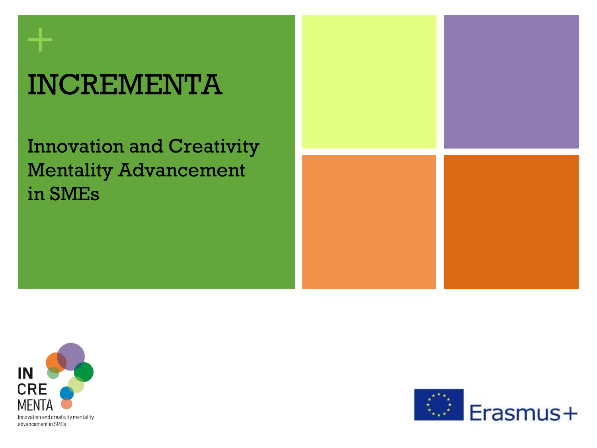# INCREMENTA

Innovation and Creativity Mentality Advancement in SMEs





**+**

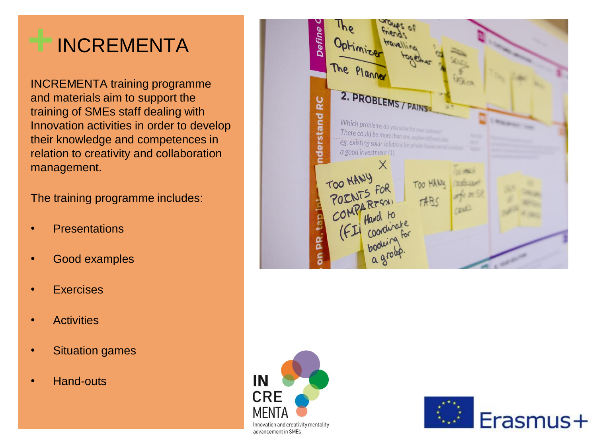# **+**INCREMENTA

INCREMENTA training programme and materials aim to support the training of SMEs staff dealing with Innovation activities in order to develop their knowledge and competences in relation to creativity and collaboration management.

The training programme includes:

- **Presentations**
- Good examples
- **Exercises**
- **Activities**
- **Situation games**
- Hand-outs





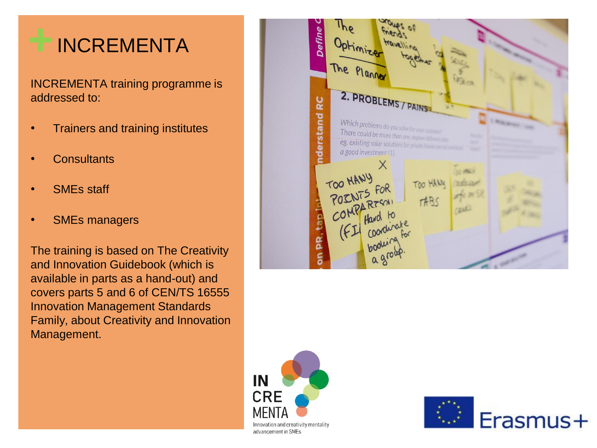# **+**INCREMENTA

INCREMENTA training programme is addressed to:

- Trainers and training institutes
- **Consultants**
- SME<sub>s</sub> staff
- SME<sub>s</sub> managers

The training is based on The Creativity and Innovation Guidebook (which is available in parts as a hand-out) and covers parts 5 and 6 of CEN/TS 16555 Innovation Management Standards Family, about Creativity and Innovation Management.





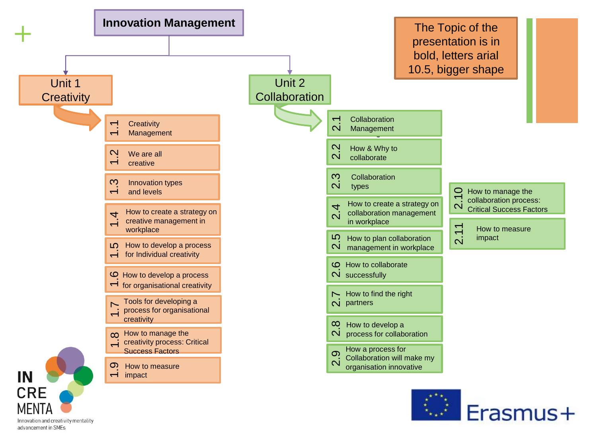

Innovation and creativity mentality advancement in SMEs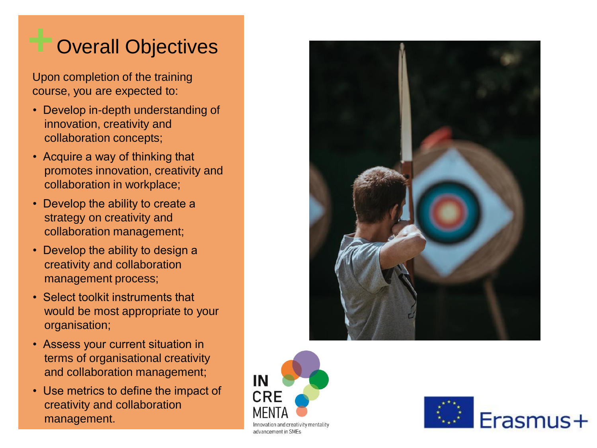## **Overall Objectives**

Upon completion of the training course, you are expected to:

- Develop in-depth understanding of innovation, creativity and collaboration concepts;
- Acquire a way of thinking that promotes innovation, creativity and collaboration in workplace;
- Develop the ability to create a strategy on creativity and collaboration management;
- Develop the ability to design a creativity and collaboration management process;
- Select toolkit instruments that would be most appropriate to your organisation;
- Assess your current situation in terms of organisational creativity and collaboration management;
- Use metrics to define the impact of creativity and collaboration management.





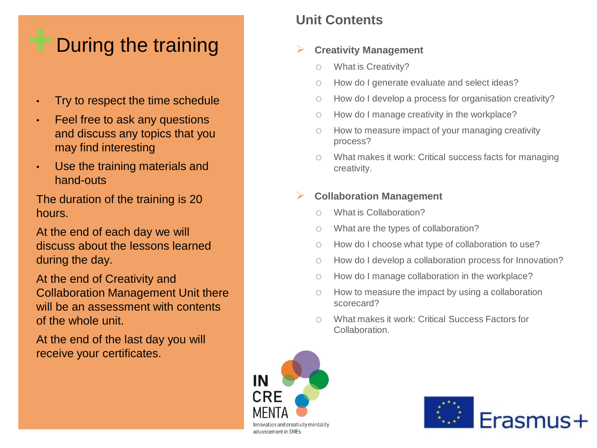### **+**During the training

- Try to respect the time schedule
- Feel free to ask any questions and discuss any topics that you may find interesting
- Use the training materials and hand-outs

The duration of the training is 20 hours.

At the end of each day we will discuss about the lessons learned during the day.

At the end of Creativity and Collaboration Management Unit there will be an assessment with contents of the whole unit.

At the end of the last day you will receive your certificates.

### **Unit Contents**

### ➢ **Creativity Management**

- o What is Creativity?
- o How do I generate evaluate and select ideas?
- o How do I develop a process for organisation creativity?
- o How do I manage creativity in the workplace?
- o How to measure impact of your managing creativity process?
- o What makes it work: Critical success facts for managing creativity.

### ➢ **Collaboration Management**

- o What is Collaboration?
- o What are the types of collaboration?
- o How do I choose what type of collaboration to use?
- o How do I develop a collaboration process for Innovation?
- o How do I manage collaboration in the workplace?
- o How to measure the impact by using a collaboration scorecard?
- o What makes it work: Critical Success Factors for Collaboration.